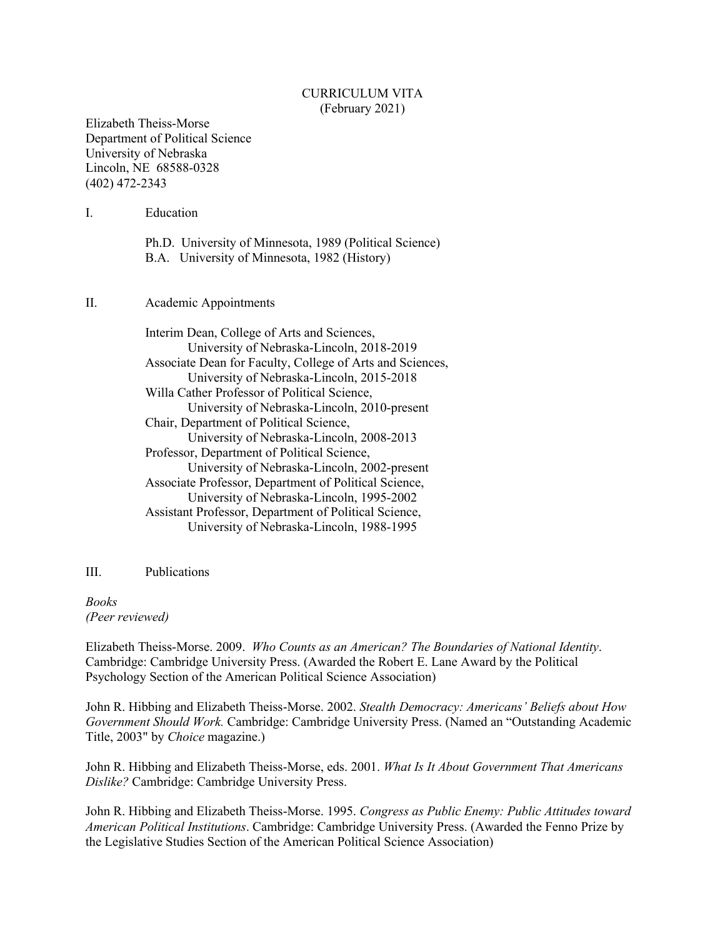#### CURRICULUM VITA (February 2021)

Elizabeth Theiss-Morse Department of Political Science University of Nebraska Lincoln, NE 68588-0328 (402) 472-2343

I. Education

Ph.D. University of Minnesota, 1989 (Political Science) B.A. University of Minnesota, 1982 (History)

II. Academic Appointments

Interim Dean, College of Arts and Sciences, University of Nebraska-Lincoln, 2018-2019 Associate Dean for Faculty, College of Arts and Sciences, University of Nebraska-Lincoln, 2015-2018 Willa Cather Professor of Political Science, University of Nebraska-Lincoln, 2010-present Chair, Department of Political Science, University of Nebraska-Lincoln, 2008-2013 Professor, Department of Political Science, University of Nebraska-Lincoln, 2002-present Associate Professor, Department of Political Science, University of Nebraska-Lincoln, 1995-2002 Assistant Professor, Department of Political Science, University of Nebraska-Lincoln, 1988-1995

III. Publications

*Books (Peer reviewed)*

Elizabeth Theiss-Morse. 2009. *Who Counts as an American? The Boundaries of National Identity*. Cambridge: Cambridge University Press. (Awarded the Robert E. Lane Award by the Political Psychology Section of the American Political Science Association)

John R. Hibbing and Elizabeth Theiss-Morse. 2002. *Stealth Democracy: Americans' Beliefs about How Government Should Work.* Cambridge: Cambridge University Press. (Named an "Outstanding Academic Title, 2003" by *Choice* magazine.)

John R. Hibbing and Elizabeth Theiss-Morse, eds. 2001. *What Is It About Government That Americans Dislike?* Cambridge: Cambridge University Press.

John R. Hibbing and Elizabeth Theiss-Morse. 1995. *Congress as Public Enemy: Public Attitudes toward American Political Institutions*. Cambridge: Cambridge University Press. (Awarded the Fenno Prize by the Legislative Studies Section of the American Political Science Association)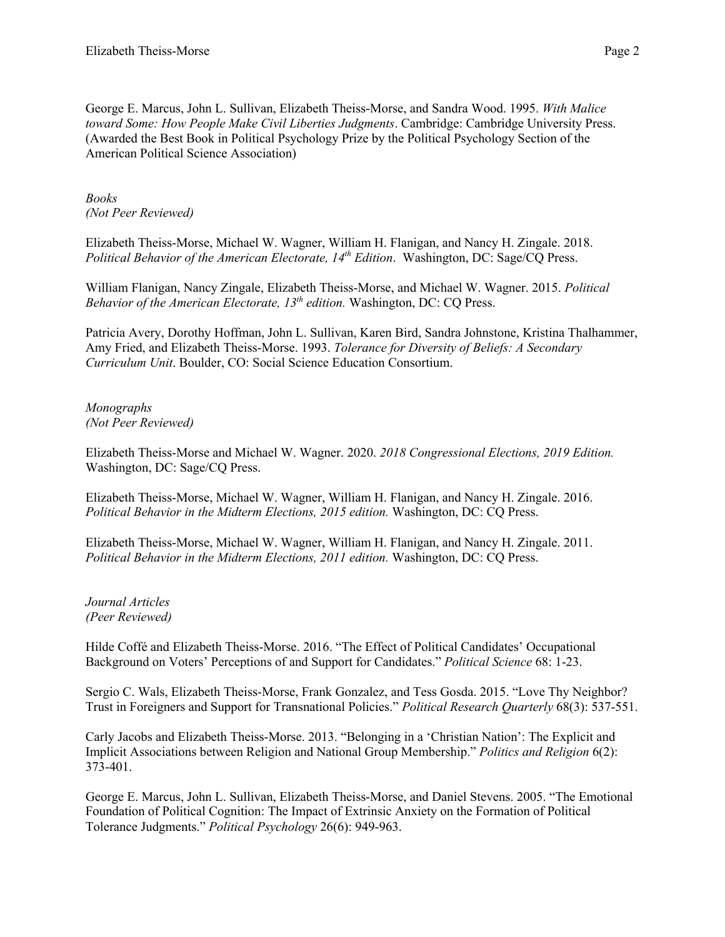George E. Marcus, John L. Sullivan, Elizabeth Theiss-Morse, and Sandra Wood. 1995. *With Malice toward Some: How People Make Civil Liberties Judgments*. Cambridge: Cambridge University Press. (Awarded the Best Book in Political Psychology Prize by the Political Psychology Section of the American Political Science Association)

*Books (Not Peer Reviewed)*

Elizabeth Theiss-Morse, Michael W. Wagner, William H. Flanigan, and Nancy H. Zingale. 2018. *Political Behavior of the American Electorate, 14th Edition*. Washington, DC: Sage/CQ Press.

William Flanigan, Nancy Zingale, Elizabeth Theiss-Morse, and Michael W. Wagner. 2015. *Political Behavior of the American Electorate, 13th edition.* Washington, DC: CQ Press.

Patricia Avery, Dorothy Hoffman, John L. Sullivan, Karen Bird, Sandra Johnstone, Kristina Thalhammer, Amy Fried, and Elizabeth Theiss-Morse. 1993. *Tolerance for Diversity of Beliefs: A Secondary Curriculum Unit*. Boulder, CO: Social Science Education Consortium.

*Monographs (Not Peer Reviewed)*

Elizabeth Theiss-Morse and Michael W. Wagner. 2020. *2018 Congressional Elections, 2019 Edition.* Washington, DC: Sage/CQ Press.

Elizabeth Theiss-Morse, Michael W. Wagner, William H. Flanigan, and Nancy H. Zingale. 2016. *Political Behavior in the Midterm Elections, 2015 edition.* Washington, DC: CQ Press.

Elizabeth Theiss-Morse, Michael W. Wagner, William H. Flanigan, and Nancy H. Zingale. 2011. *Political Behavior in the Midterm Elections, 2011 edition.* Washington, DC: CQ Press.

*Journal Articles (Peer Reviewed)*

Hilde Coffé and Elizabeth Theiss-Morse. 2016. "The Effect of Political Candidates' Occupational Background on Voters' Perceptions of and Support for Candidates." *Political Science* 68: 1-23.

Sergio C. Wals, Elizabeth Theiss-Morse, Frank Gonzalez, and Tess Gosda. 2015. "Love Thy Neighbor? Trust in Foreigners and Support for Transnational Policies." *Political Research Quarterly* 68(3): 537-551.

Carly Jacobs and Elizabeth Theiss-Morse. 2013. "Belonging in a 'Christian Nation': The Explicit and Implicit Associations between Religion and National Group Membership." *Politics and Religion* 6(2): 373-401.

George E. Marcus, John L. Sullivan, Elizabeth Theiss-Morse, and Daniel Stevens. 2005. "The Emotional Foundation of Political Cognition: The Impact of Extrinsic Anxiety on the Formation of Political Tolerance Judgments." *Political Psychology* 26(6): 949-963.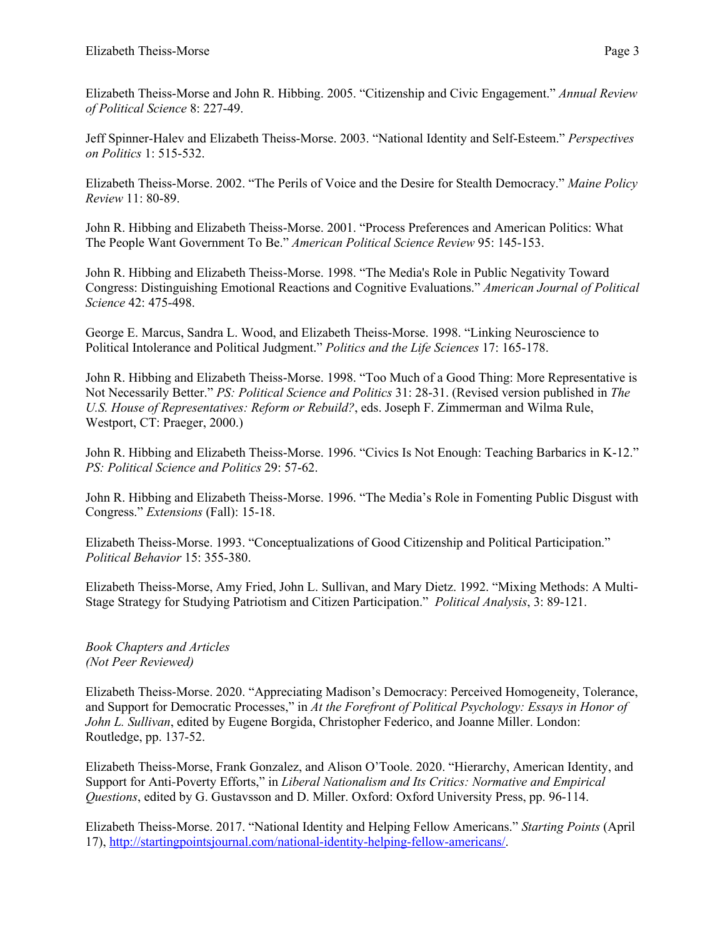Elizabeth Theiss-Morse and John R. Hibbing. 2005. "Citizenship and Civic Engagement." *Annual Review of Political Science* 8: 227-49.

Jeff Spinner-Halev and Elizabeth Theiss-Morse. 2003. "National Identity and Self-Esteem." *Perspectives on Politics* 1: 515-532.

Elizabeth Theiss-Morse. 2002. "The Perils of Voice and the Desire for Stealth Democracy." *Maine Policy Review* 11: 80-89.

John R. Hibbing and Elizabeth Theiss-Morse. 2001. "Process Preferences and American Politics: What The People Want Government To Be." *American Political Science Review* 95: 145-153.

John R. Hibbing and Elizabeth Theiss-Morse. 1998. "The Media's Role in Public Negativity Toward Congress: Distinguishing Emotional Reactions and Cognitive Evaluations." *American Journal of Political Science* 42: 475-498.

George E. Marcus, Sandra L. Wood, and Elizabeth Theiss-Morse. 1998. "Linking Neuroscience to Political Intolerance and Political Judgment." *Politics and the Life Sciences* 17: 165-178.

John R. Hibbing and Elizabeth Theiss-Morse. 1998. "Too Much of a Good Thing: More Representative is Not Necessarily Better." *PS: Political Science and Politics* 31: 28-31. (Revised version published in *The U.S. House of Representatives: Reform or Rebuild?*, eds. Joseph F. Zimmerman and Wilma Rule, Westport, CT: Praeger, 2000.)

John R. Hibbing and Elizabeth Theiss-Morse. 1996. "Civics Is Not Enough: Teaching Barbarics in K-12." *PS: Political Science and Politics* 29: 57-62.

John R. Hibbing and Elizabeth Theiss-Morse. 1996. "The Media's Role in Fomenting Public Disgust with Congress." *Extensions* (Fall): 15-18.

Elizabeth Theiss-Morse. 1993. "Conceptualizations of Good Citizenship and Political Participation." *Political Behavior* 15: 355-380.

Elizabeth Theiss-Morse, Amy Fried, John L. Sullivan, and Mary Dietz. 1992. "Mixing Methods: A Multi-Stage Strategy for Studying Patriotism and Citizen Participation." *Political Analysis*, 3: 89-121.

*Book Chapters and Articles (Not Peer Reviewed)*

Elizabeth Theiss-Morse. 2020. "Appreciating Madison's Democracy: Perceived Homogeneity, Tolerance, and Support for Democratic Processes," in *At the Forefront of Political Psychology: Essays in Honor of John L. Sullivan*, edited by Eugene Borgida, Christopher Federico, and Joanne Miller. London: Routledge, pp. 137-52.

Elizabeth Theiss-Morse, Frank Gonzalez, and Alison O'Toole. 2020. "Hierarchy, American Identity, and Support for Anti-Poverty Efforts," in *Liberal Nationalism and Its Critics: Normative and Empirical Questions*, edited by G. Gustavsson and D. Miller. Oxford: Oxford University Press, pp. 96-114.

Elizabeth Theiss-Morse. 2017. "National Identity and Helping Fellow Americans." *Starting Points* (April 17), http://startingpointsjournal.com/national-identity-helping-fellow-americans/.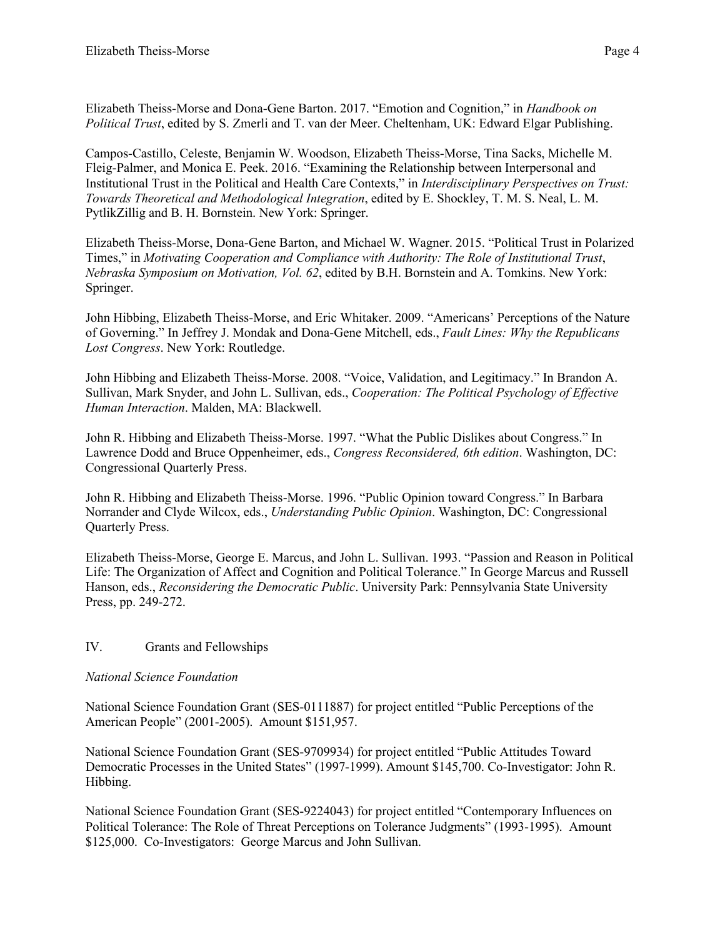Elizabeth Theiss-Morse and Dona-Gene Barton. 2017. "Emotion and Cognition," in *Handbook on Political Trust*, edited by S. Zmerli and T. van der Meer. Cheltenham, UK: Edward Elgar Publishing.

Campos-Castillo, Celeste, Benjamin W. Woodson, Elizabeth Theiss-Morse, Tina Sacks, Michelle M. Fleig-Palmer, and Monica E. Peek. 2016. "Examining the Relationship between Interpersonal and Institutional Trust in the Political and Health Care Contexts," in *Interdisciplinary Perspectives on Trust: Towards Theoretical and Methodological Integration*, edited by E. Shockley, T. M. S. Neal, L. M. PytlikZillig and B. H. Bornstein. New York: Springer.

Elizabeth Theiss-Morse, Dona-Gene Barton, and Michael W. Wagner. 2015. "Political Trust in Polarized Times," in *Motivating Cooperation and Compliance with Authority: The Role of Institutional Trust*, *Nebraska Symposium on Motivation, Vol. 62*, edited by B.H. Bornstein and A. Tomkins. New York: Springer.

John Hibbing, Elizabeth Theiss-Morse, and Eric Whitaker. 2009. "Americans' Perceptions of the Nature of Governing." In Jeffrey J. Mondak and Dona-Gene Mitchell, eds., *Fault Lines: Why the Republicans Lost Congress*. New York: Routledge.

John Hibbing and Elizabeth Theiss-Morse. 2008. "Voice, Validation, and Legitimacy." In Brandon A. Sullivan, Mark Snyder, and John L. Sullivan, eds., *Cooperation: The Political Psychology of Effective Human Interaction*. Malden, MA: Blackwell.

John R. Hibbing and Elizabeth Theiss-Morse. 1997. "What the Public Dislikes about Congress." In Lawrence Dodd and Bruce Oppenheimer, eds., *Congress Reconsidered, 6th edition*. Washington, DC: Congressional Quarterly Press.

John R. Hibbing and Elizabeth Theiss-Morse. 1996. "Public Opinion toward Congress." In Barbara Norrander and Clyde Wilcox, eds., *Understanding Public Opinion*. Washington, DC: Congressional Quarterly Press.

Elizabeth Theiss-Morse, George E. Marcus, and John L. Sullivan. 1993. "Passion and Reason in Political Life: The Organization of Affect and Cognition and Political Tolerance." In George Marcus and Russell Hanson, eds., *Reconsidering the Democratic Public*. University Park: Pennsylvania State University Press, pp. 249-272.

# IV. Grants and Fellowships

### *National Science Foundation*

National Science Foundation Grant (SES-0111887) for project entitled "Public Perceptions of the American People" (2001-2005). Amount \$151,957.

National Science Foundation Grant (SES-9709934) for project entitled "Public Attitudes Toward Democratic Processes in the United States" (1997-1999). Amount \$145,700. Co-Investigator: John R. Hibbing.

National Science Foundation Grant (SES-9224043) for project entitled "Contemporary Influences on Political Tolerance: The Role of Threat Perceptions on Tolerance Judgments" (1993-1995). Amount \$125,000. Co-Investigators: George Marcus and John Sullivan.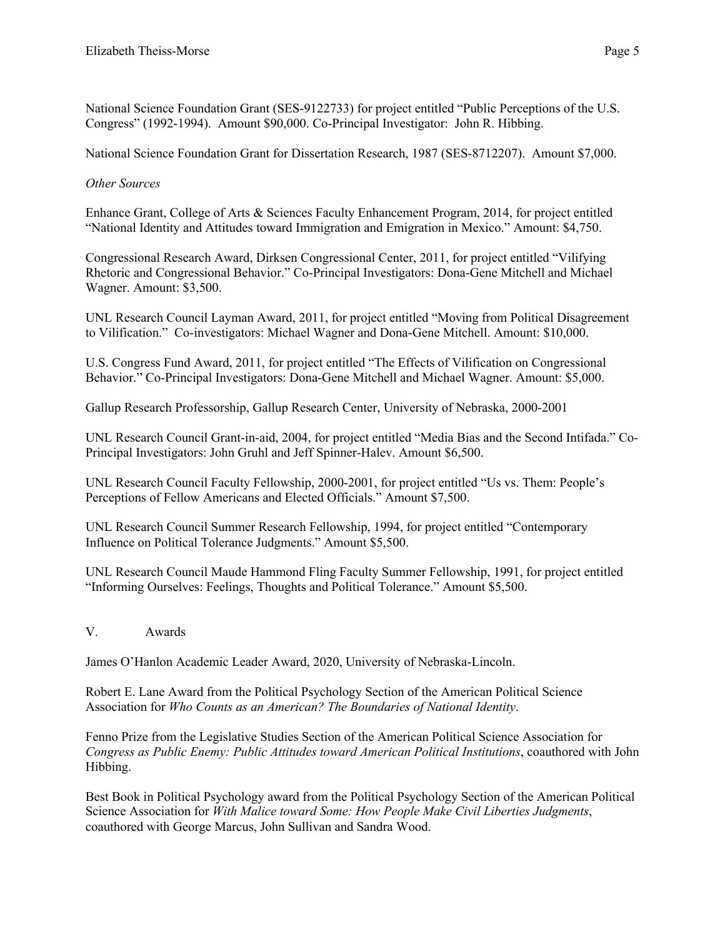National Science Foundation Grant (SES-9122733) for project entitled "Public Perceptions of the U.S. Congress" (1992-1994). Amount \$90,000. Co-Principal Investigator: John R. Hibbing.

National Science Foundation Grant for Dissertation Research, 1987 (SES-8712207). Amount \$7,000.

## *Other Sources*

Enhance Grant, College of Arts & Sciences Faculty Enhancement Program, 2014, for project entitled "National Identity and Attitudes toward Immigration and Emigration in Mexico." Amount: \$4,750.

Congressional Research Award, Dirksen Congressional Center, 2011, for project entitled "Vilifying Rhetoric and Congressional Behavior." Co-Principal Investigators: Dona-Gene Mitchell and Michael Wagner. Amount: \$3,500.

UNL Research Council Layman Award, 2011, for project entitled "Moving from Political Disagreement to Vilification." Co-investigators: Michael Wagner and Dona-Gene Mitchell. Amount: \$10,000.

U.S. Congress Fund Award, 2011, for project entitled "The Effects of Vilification on Congressional Behavior." Co-Principal Investigators: Dona-Gene Mitchell and Michael Wagner. Amount: \$5,000.

Gallup Research Professorship, Gallup Research Center, University of Nebraska, 2000-2001

UNL Research Council Grant-in-aid, 2004, for project entitled "Media Bias and the Second Intifada." Co-Principal Investigators: John Gruhl and Jeff Spinner-Halev. Amount \$6,500.

UNL Research Council Faculty Fellowship, 2000-2001, for project entitled "Us vs. Them: People's Perceptions of Fellow Americans and Elected Officials." Amount \$7,500.

UNL Research Council Summer Research Fellowship, 1994, for project entitled "Contemporary Influence on Political Tolerance Judgments." Amount \$5,500.

UNL Research Council Maude Hammond Fling Faculty Summer Fellowship, 1991, for project entitled "Informing Ourselves: Feelings, Thoughts and Political Tolerance." Amount \$5,500.

V. Awards

James O'Hanlon Academic Leader Award, 2020, University of Nebraska-Lincoln.

Robert E. Lane Award from the Political Psychology Section of the American Political Science Association for *Who Counts as an American? The Boundaries of National Identity*.

Fenno Prize from the Legislative Studies Section of the American Political Science Association for *Congress as Public Enemy: Public Attitudes toward American Political Institutions*, coauthored with John Hibbing.

Best Book in Political Psychology award from the Political Psychology Section of the American Political Science Association for *With Malice toward Some: How People Make Civil Liberties Judgments*, coauthored with George Marcus, John Sullivan and Sandra Wood.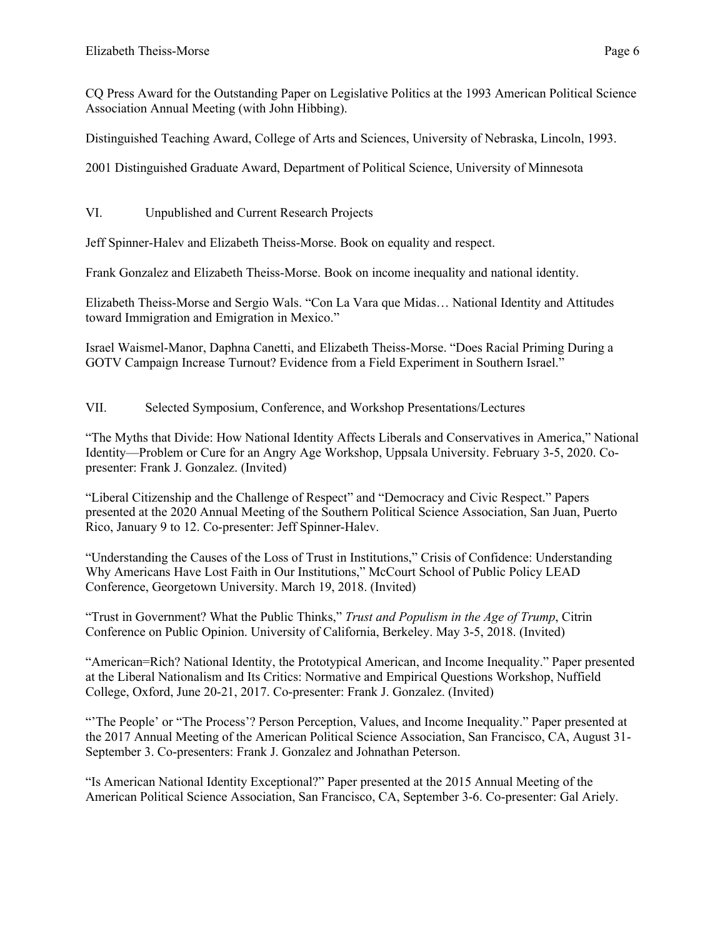CQ Press Award for the Outstanding Paper on Legislative Politics at the 1993 American Political Science Association Annual Meeting (with John Hibbing).

Distinguished Teaching Award, College of Arts and Sciences, University of Nebraska, Lincoln, 1993.

2001 Distinguished Graduate Award, Department of Political Science, University of Minnesota

VI. Unpublished and Current Research Projects

Jeff Spinner-Halev and Elizabeth Theiss-Morse. Book on equality and respect.

Frank Gonzalez and Elizabeth Theiss-Morse. Book on income inequality and national identity.

Elizabeth Theiss-Morse and Sergio Wals. "Con La Vara que Midas… National Identity and Attitudes toward Immigration and Emigration in Mexico."

Israel Waismel-Manor, Daphna Canetti, and Elizabeth Theiss-Morse. "Does Racial Priming During a GOTV Campaign Increase Turnout? Evidence from a Field Experiment in Southern Israel."

VII. Selected Symposium, Conference, and Workshop Presentations/Lectures

"The Myths that Divide: How National Identity Affects Liberals and Conservatives in America," National Identity—Problem or Cure for an Angry Age Workshop, Uppsala University. February 3-5, 2020. Copresenter: Frank J. Gonzalez. (Invited)

"Liberal Citizenship and the Challenge of Respect" and "Democracy and Civic Respect." Papers presented at the 2020 Annual Meeting of the Southern Political Science Association, San Juan, Puerto Rico, January 9 to 12. Co-presenter: Jeff Spinner-Halev.

"Understanding the Causes of the Loss of Trust in Institutions," Crisis of Confidence: Understanding Why Americans Have Lost Faith in Our Institutions," McCourt School of Public Policy LEAD Conference, Georgetown University. March 19, 2018. (Invited)

"Trust in Government? What the Public Thinks," *Trust and Populism in the Age of Trump*, Citrin Conference on Public Opinion. University of California, Berkeley. May 3-5, 2018. (Invited)

"American=Rich? National Identity, the Prototypical American, and Income Inequality." Paper presented at the Liberal Nationalism and Its Critics: Normative and Empirical Questions Workshop, Nuffield College, Oxford, June 20-21, 2017. Co-presenter: Frank J. Gonzalez. (Invited)

"'The People' or "The Process'? Person Perception, Values, and Income Inequality." Paper presented at the 2017 Annual Meeting of the American Political Science Association, San Francisco, CA, August 31- September 3. Co-presenters: Frank J. Gonzalez and Johnathan Peterson.

"Is American National Identity Exceptional?" Paper presented at the 2015 Annual Meeting of the American Political Science Association, San Francisco, CA, September 3-6. Co-presenter: Gal Ariely.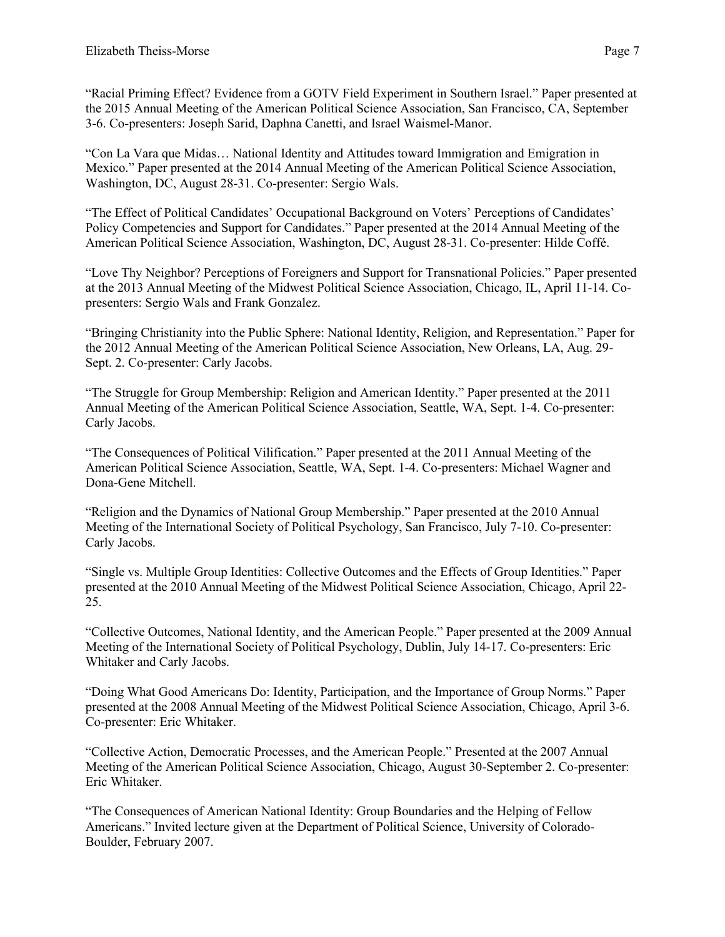"Racial Priming Effect? Evidence from a GOTV Field Experiment in Southern Israel." Paper presented at the 2015 Annual Meeting of the American Political Science Association, San Francisco, CA, September 3-6. Co-presenters: Joseph Sarid, Daphna Canetti, and Israel Waismel-Manor.

"Con La Vara que Midas… National Identity and Attitudes toward Immigration and Emigration in Mexico." Paper presented at the 2014 Annual Meeting of the American Political Science Association, Washington, DC, August 28-31. Co-presenter: Sergio Wals.

"The Effect of Political Candidates' Occupational Background on Voters' Perceptions of Candidates' Policy Competencies and Support for Candidates." Paper presented at the 2014 Annual Meeting of the American Political Science Association, Washington, DC, August 28-31. Co-presenter: Hilde Coffé.

"Love Thy Neighbor? Perceptions of Foreigners and Support for Transnational Policies." Paper presented at the 2013 Annual Meeting of the Midwest Political Science Association, Chicago, IL, April 11-14. Copresenters: Sergio Wals and Frank Gonzalez.

"Bringing Christianity into the Public Sphere: National Identity, Religion, and Representation." Paper for the 2012 Annual Meeting of the American Political Science Association, New Orleans, LA, Aug. 29- Sept. 2. Co-presenter: Carly Jacobs.

"The Struggle for Group Membership: Religion and American Identity." Paper presented at the 2011 Annual Meeting of the American Political Science Association, Seattle, WA, Sept. 1-4. Co-presenter: Carly Jacobs.

"The Consequences of Political Vilification." Paper presented at the 2011 Annual Meeting of the American Political Science Association, Seattle, WA, Sept. 1-4. Co-presenters: Michael Wagner and Dona-Gene Mitchell.

"Religion and the Dynamics of National Group Membership." Paper presented at the 2010 Annual Meeting of the International Society of Political Psychology, San Francisco, July 7-10. Co-presenter: Carly Jacobs.

"Single vs. Multiple Group Identities: Collective Outcomes and the Effects of Group Identities." Paper presented at the 2010 Annual Meeting of the Midwest Political Science Association, Chicago, April 22- 25.

"Collective Outcomes, National Identity, and the American People." Paper presented at the 2009 Annual Meeting of the International Society of Political Psychology, Dublin, July 14-17. Co-presenters: Eric Whitaker and Carly Jacobs.

"Doing What Good Americans Do: Identity, Participation, and the Importance of Group Norms." Paper presented at the 2008 Annual Meeting of the Midwest Political Science Association, Chicago, April 3-6. Co-presenter: Eric Whitaker.

"Collective Action, Democratic Processes, and the American People." Presented at the 2007 Annual Meeting of the American Political Science Association, Chicago, August 30-September 2. Co-presenter: Eric Whitaker.

"The Consequences of American National Identity: Group Boundaries and the Helping of Fellow Americans." Invited lecture given at the Department of Political Science, University of Colorado-Boulder, February 2007.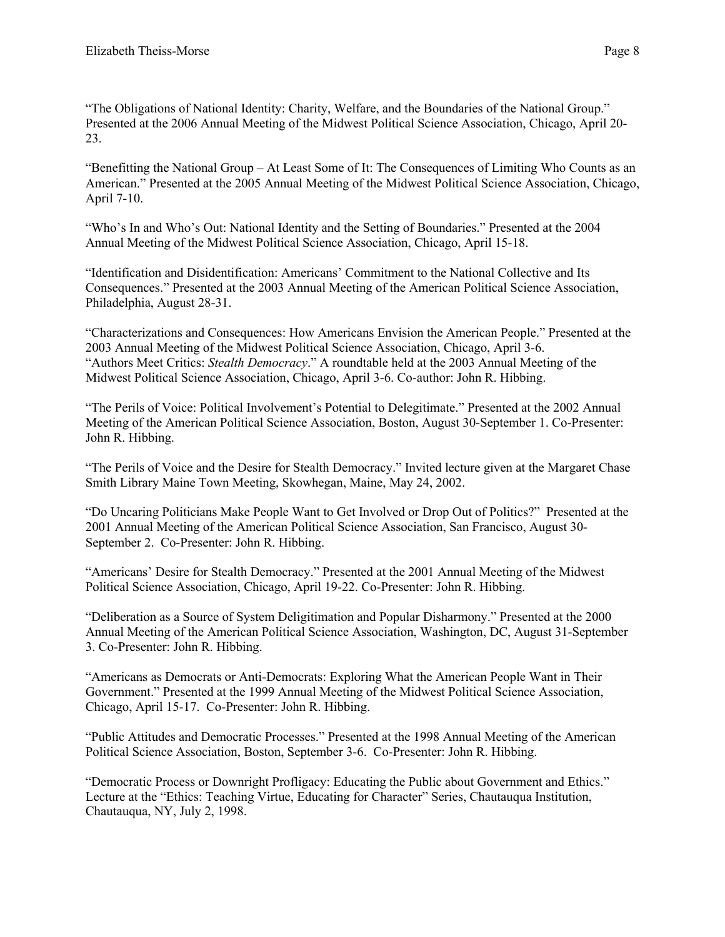"The Obligations of National Identity: Charity, Welfare, and the Boundaries of the National Group." Presented at the 2006 Annual Meeting of the Midwest Political Science Association, Chicago, April 20- 23.

"Benefitting the National Group – At Least Some of It: The Consequences of Limiting Who Counts as an American." Presented at the 2005 Annual Meeting of the Midwest Political Science Association, Chicago, April 7-10.

"Who's In and Who's Out: National Identity and the Setting of Boundaries." Presented at the 2004 Annual Meeting of the Midwest Political Science Association, Chicago, April 15-18.

"Identification and Disidentification: Americans' Commitment to the National Collective and Its Consequences." Presented at the 2003 Annual Meeting of the American Political Science Association, Philadelphia, August 28-31.

"Characterizations and Consequences: How Americans Envision the American People." Presented at the 2003 Annual Meeting of the Midwest Political Science Association, Chicago, April 3-6. "Authors Meet Critics: *Stealth Democracy*." A roundtable held at the 2003 Annual Meeting of the Midwest Political Science Association, Chicago, April 3-6. Co-author: John R. Hibbing.

"The Perils of Voice: Political Involvement's Potential to Delegitimate." Presented at the 2002 Annual Meeting of the American Political Science Association, Boston, August 30-September 1. Co-Presenter: John R. Hibbing.

"The Perils of Voice and the Desire for Stealth Democracy." Invited lecture given at the Margaret Chase Smith Library Maine Town Meeting, Skowhegan, Maine, May 24, 2002.

"Do Uncaring Politicians Make People Want to Get Involved or Drop Out of Politics?" Presented at the 2001 Annual Meeting of the American Political Science Association, San Francisco, August 30- September 2. Co-Presenter: John R. Hibbing.

"Americans' Desire for Stealth Democracy." Presented at the 2001 Annual Meeting of the Midwest Political Science Association, Chicago, April 19-22. Co-Presenter: John R. Hibbing.

"Deliberation as a Source of System Deligitimation and Popular Disharmony." Presented at the 2000 Annual Meeting of the American Political Science Association, Washington, DC, August 31-September 3. Co-Presenter: John R. Hibbing.

"Americans as Democrats or Anti-Democrats: Exploring What the American People Want in Their Government." Presented at the 1999 Annual Meeting of the Midwest Political Science Association, Chicago, April 15-17. Co-Presenter: John R. Hibbing.

"Public Attitudes and Democratic Processes." Presented at the 1998 Annual Meeting of the American Political Science Association, Boston, September 3-6. Co-Presenter: John R. Hibbing.

"Democratic Process or Downright Profligacy: Educating the Public about Government and Ethics." Lecture at the "Ethics: Teaching Virtue, Educating for Character" Series, Chautauqua Institution, Chautauqua, NY, July 2, 1998.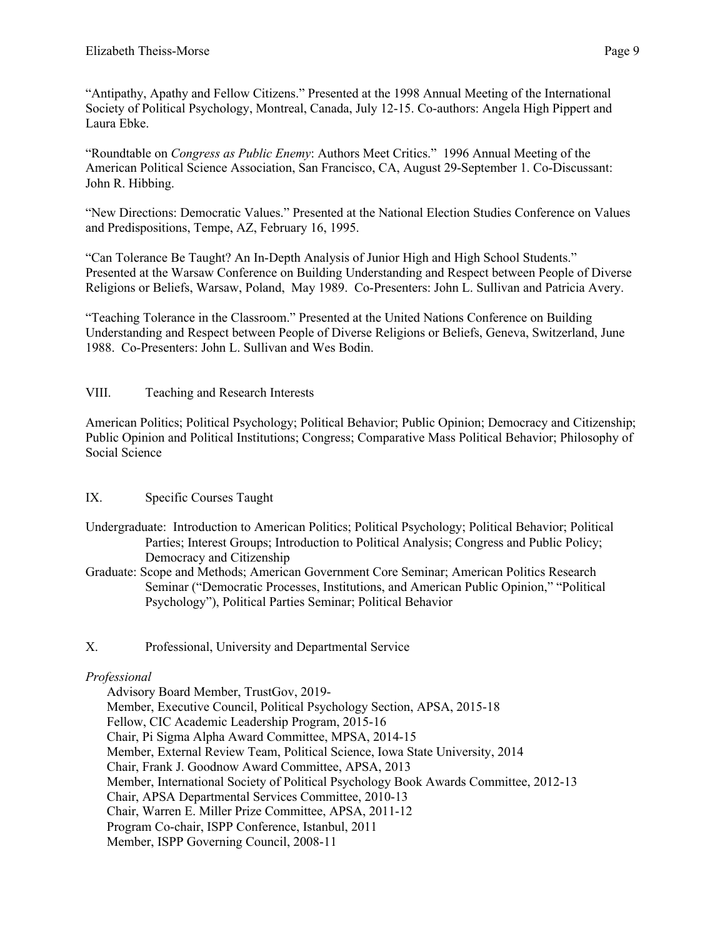"Antipathy, Apathy and Fellow Citizens." Presented at the 1998 Annual Meeting of the International Society of Political Psychology, Montreal, Canada, July 12-15. Co-authors: Angela High Pippert and Laura Ebke.

"Roundtable on *Congress as Public Enemy*: Authors Meet Critics." 1996 Annual Meeting of the American Political Science Association, San Francisco, CA, August 29-September 1. Co-Discussant: John R. Hibbing.

"New Directions: Democratic Values." Presented at the National Election Studies Conference on Values and Predispositions, Tempe, AZ, February 16, 1995.

"Can Tolerance Be Taught? An In-Depth Analysis of Junior High and High School Students." Presented at the Warsaw Conference on Building Understanding and Respect between People of Diverse Religions or Beliefs, Warsaw, Poland, May 1989. Co-Presenters: John L. Sullivan and Patricia Avery.

"Teaching Tolerance in the Classroom." Presented at the United Nations Conference on Building Understanding and Respect between People of Diverse Religions or Beliefs, Geneva, Switzerland, June 1988. Co-Presenters: John L. Sullivan and Wes Bodin.

### VIII. Teaching and Research Interests

American Politics; Political Psychology; Political Behavior; Public Opinion; Democracy and Citizenship; Public Opinion and Political Institutions; Congress; Comparative Mass Political Behavior; Philosophy of Social Science

# IX. Specific Courses Taught

- Undergraduate: Introduction to American Politics; Political Psychology; Political Behavior; Political Parties; Interest Groups; Introduction to Political Analysis; Congress and Public Policy; Democracy and Citizenship
- Graduate: Scope and Methods; American Government Core Seminar; American Politics Research Seminar ("Democratic Processes, Institutions, and American Public Opinion," "Political Psychology"), Political Parties Seminar; Political Behavior
- X. Professional, University and Departmental Service

# *Professional*

Advisory Board Member, TrustGov, 2019- Member, Executive Council, Political Psychology Section, APSA, 2015-18 Fellow, CIC Academic Leadership Program, 2015-16 Chair, Pi Sigma Alpha Award Committee, MPSA, 2014-15 Member, External Review Team, Political Science, Iowa State University, 2014 Chair, Frank J. Goodnow Award Committee, APSA, 2013 Member, International Society of Political Psychology Book Awards Committee, 2012-13 Chair, APSA Departmental Services Committee, 2010-13 Chair, Warren E. Miller Prize Committee, APSA, 2011-12 Program Co-chair, ISPP Conference, Istanbul, 2011 Member, ISPP Governing Council, 2008-11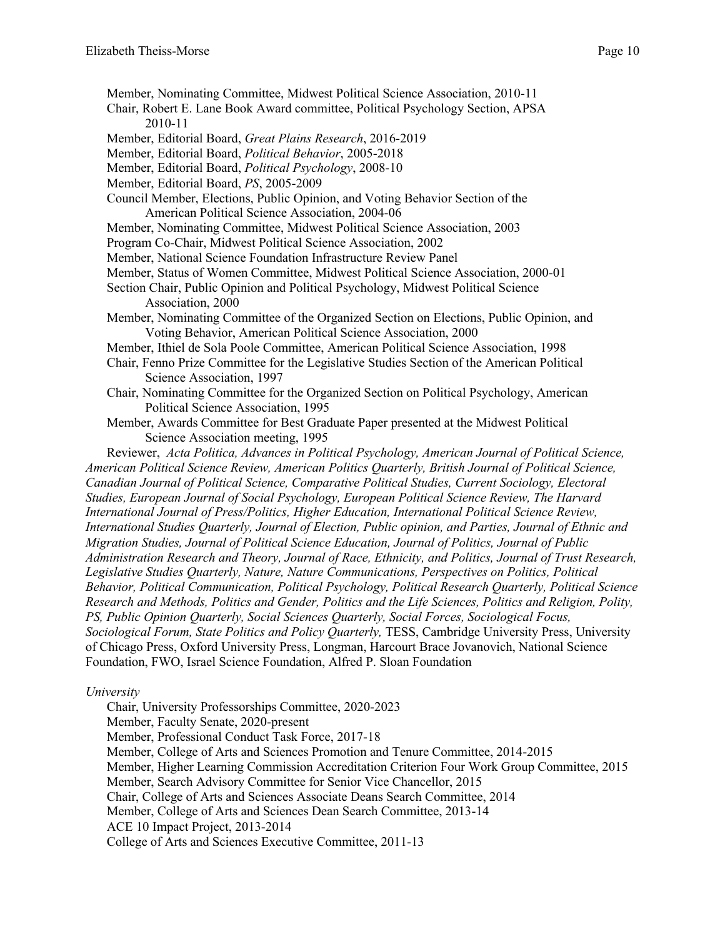Member, Nominating Committee, Midwest Political Science Association, 2010-11 Chair, Robert E. Lane Book Award committee, Political Psychology Section, APSA 2010-11 Member, Editorial Board, *Great Plains Research*, 2016-2019 Member, Editorial Board, *Political Behavior*, 2005-2018 Member, Editorial Board, *Political Psychology*, 2008-10 Member, Editorial Board, *PS*, 2005-2009 Council Member, Elections, Public Opinion, and Voting Behavior Section of the American Political Science Association, 2004-06 Member, Nominating Committee, Midwest Political Science Association, 2003 Program Co-Chair, Midwest Political Science Association, 2002 Member, National Science Foundation Infrastructure Review Panel Member, Status of Women Committee, Midwest Political Science Association, 2000-01 Section Chair, Public Opinion and Political Psychology, Midwest Political Science Association, 2000 Member, Nominating Committee of the Organized Section on Elections, Public Opinion, and Voting Behavior, American Political Science Association, 2000 Member, Ithiel de Sola Poole Committee, American Political Science Association, 1998 Chair, Fenno Prize Committee for the Legislative Studies Section of the American Political Science Association, 1997 Chair, Nominating Committee for the Organized Section on Political Psychology, American Political Science Association, 1995 Member, Awards Committee for Best Graduate Paper presented at the Midwest Political Science Association meeting, 1995 Reviewer, *Acta Politica, Advances in Political Psychology, American Journal of Political Science, American Political Science Review, American Politics Quarterly, British Journal of Political Science, Canadian Journal of Political Science, Comparative Political Studies, Current Sociology, Electoral Studies, European Journal of Social Psychology, European Political Science Review, The Harvard International Journal of Press/Politics, Higher Education, International Political Science Review, International Studies Quarterly, Journal of Election, Public opinion, and Parties, Journal of Ethnic and Migration Studies, Journal of Political Science Education, Journal of Politics, Journal of Public Administration Research and Theory, Journal of Race, Ethnicity, and Politics, Journal of Trust Research, Legislative Studies Quarterly, Nature, Nature Communications, Perspectives on Politics, Political Behavior, Political Communication, Political Psychology, Political Research Quarterly, Political Science Research and Methods, Politics and Gender, Politics and the Life Sciences, Politics and Religion, Polity, PS, Public Opinion Quarterly, Social Sciences Quarterly, Social Forces, Sociological Focus, Sociological Forum, State Politics and Policy Quarterly,* TESS, Cambridge University Press, University of Chicago Press, Oxford University Press, Longman, Harcourt Brace Jovanovich, National Science

#### *University*

Chair, University Professorships Committee, 2020-2023 Member, Faculty Senate, 2020-present Member, Professional Conduct Task Force, 2017-18 Member, College of Arts and Sciences Promotion and Tenure Committee, 2014-2015 Member, Higher Learning Commission Accreditation Criterion Four Work Group Committee, 2015 Member, Search Advisory Committee for Senior Vice Chancellor, 2015 Chair, College of Arts and Sciences Associate Deans Search Committee, 2014 Member, College of Arts and Sciences Dean Search Committee, 2013-14 ACE 10 Impact Project, 2013-2014 College of Arts and Sciences Executive Committee, 2011-13

Foundation, FWO, Israel Science Foundation, Alfred P. Sloan Foundation